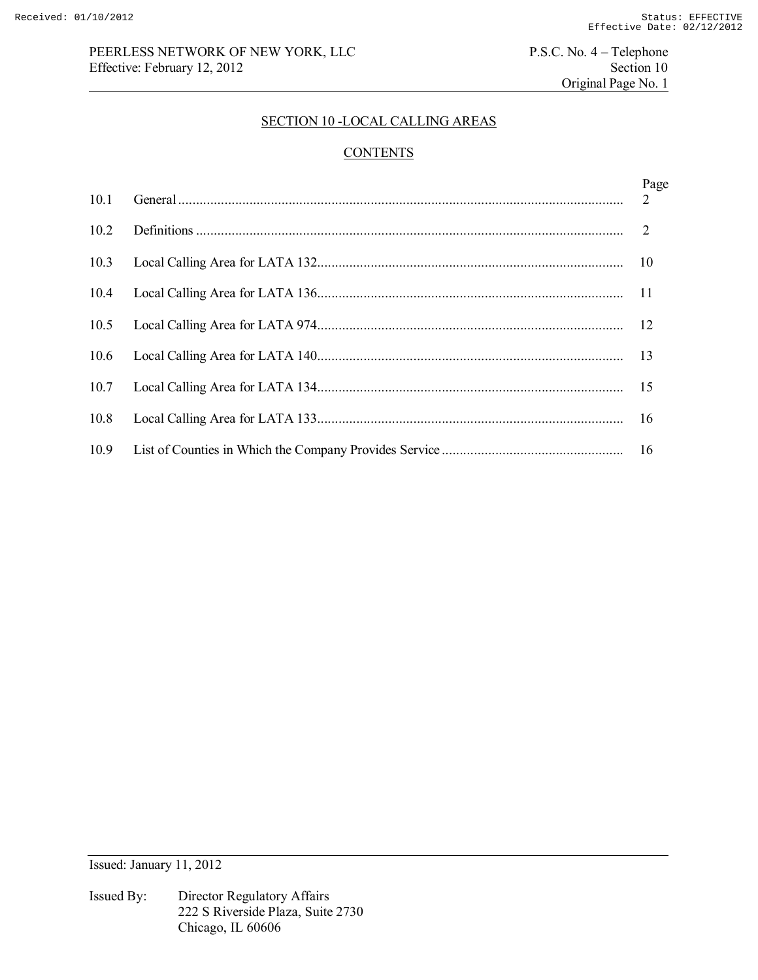## PEERLESS NETWORK OF NEW YORK, LLC<br>
Effective: February 12, 2012<br>
Section 10 Effective: February 12, 2012

Original Page No. 1

#### SECTION 10 -LOCAL CALLING AREAS

# **CONTENTS**

| 10.1 | Page |
|------|------|
| 10.2 |      |
| 10.3 |      |
| 10.4 |      |
| 10.5 |      |
| 10.6 |      |
| 10.7 |      |
| 10.8 |      |
| 10.9 | -16  |

Issued: January 11, 2012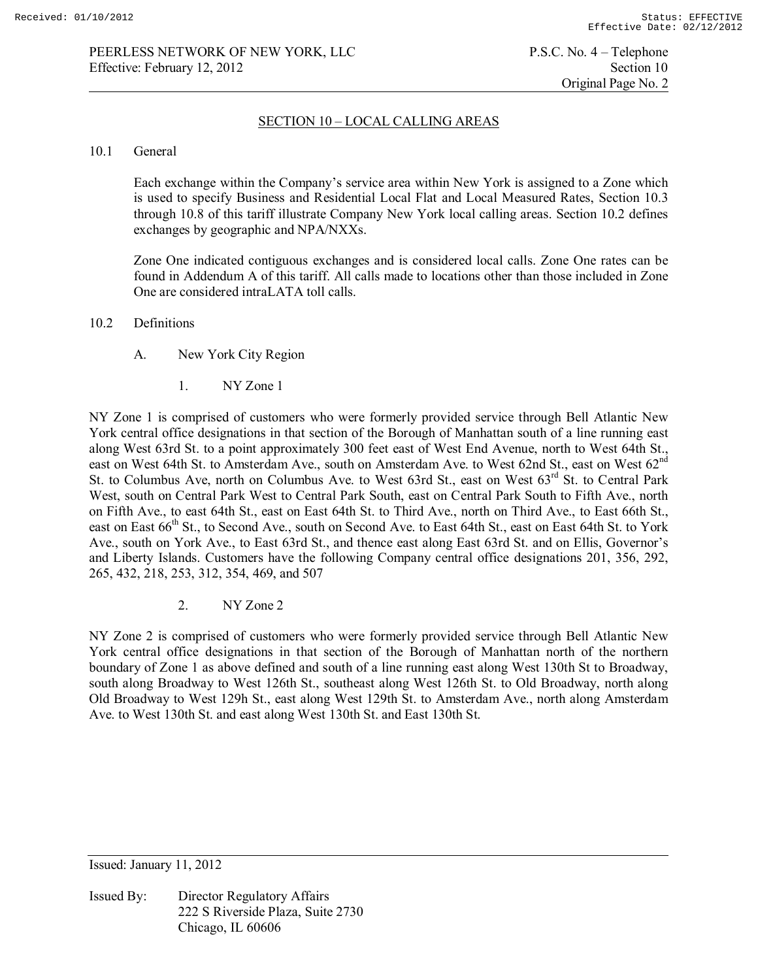Original Page No. 2

### SECTION 10 – LOCAL CALLING AREAS

#### 10.1 General

Each exchange within the Company's service area within New York is assigned to a Zone which is used to specify Business and Residential Local Flat and Local Measured Rates, Section 10.3 through 10.8 of this tariff illustrate Company New York local calling areas. Section 10.2 defines exchanges by geographic and NPA/NXXs.

Zone One indicated contiguous exchanges and is considered local calls. Zone One rates can be found in Addendum A of this tariff. All calls made to locations other than those included in Zone One are considered intraLATA toll calls.

#### 10.2 Definitions

- A. New York City Region
	- 1. NY Zone 1

NY Zone 1 is comprised of customers who were formerly provided service through Bell Atlantic New York central office designations in that section of the Borough of Manhattan south of a line running east along West 63rd St. to a point approximately 300 feet east of West End Avenue, north to West 64th St., east on West 64th St. to Amsterdam Ave., south on Amsterdam Ave. to West 62nd St., east on West 62<sup>nd</sup> St. to Columbus Ave, north on Columbus Ave. to West 63rd St., east on West 63rd St. to Central Park West, south on Central Park West to Central Park South, east on Central Park South to Fifth Ave., north on Fifth Ave., to east 64th St., east on East 64th St. to Third Ave., north on Third Ave., to East 66th St., east on East 66<sup>th</sup> St., to Second Ave., south on Second Ave. to East 64th St., east on East 64th St. to York Ave., south on York Ave., to East 63rd St., and thence east along East 63rd St. and on Ellis, Governor's and Liberty Islands. Customers have the following Company central office designations 201, 356, 292, 265, 432, 218, 253, 312, 354, 469, and 507

2. NY Zone 2

NY Zone 2 is comprised of customers who were formerly provided service through Bell Atlantic New York central office designations in that section of the Borough of Manhattan north of the northern boundary of Zone 1 as above defined and south of a line running east along West 130th St to Broadway, south along Broadway to West 126th St., southeast along West 126th St. to Old Broadway, north along Old Broadway to West 129h St., east along West 129th St. to Amsterdam Ave., north along Amsterdam Ave. to West 130th St. and east along West 130th St. and East 130th St.

Issued: January 11, 2012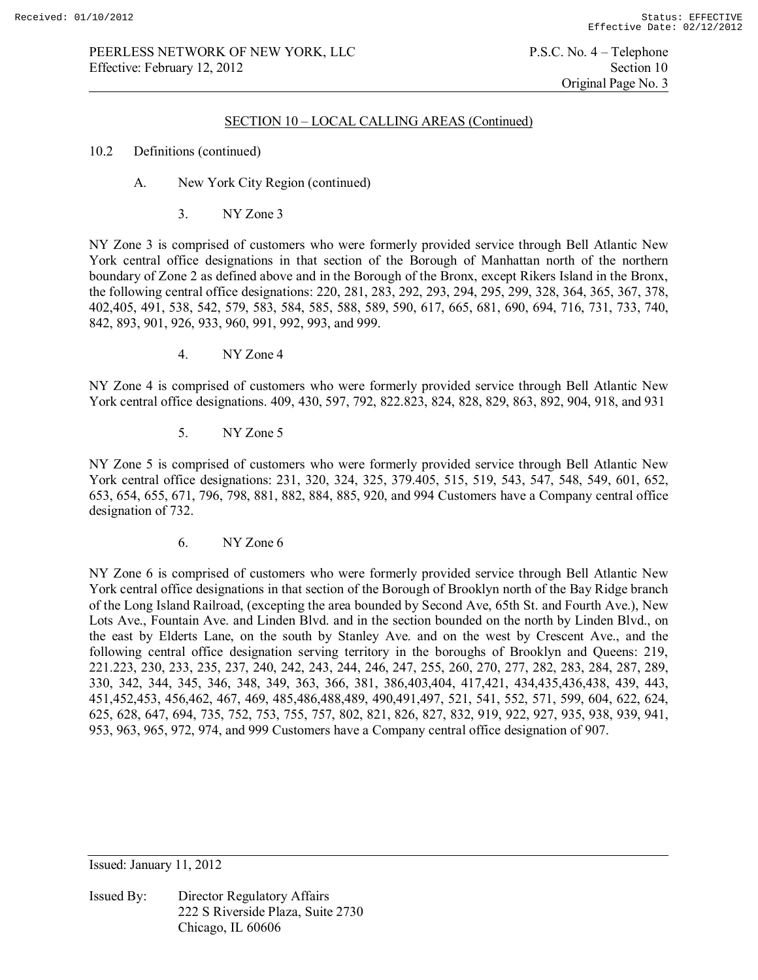### SECTION 10 – LOCAL CALLING AREAS (Continued)

#### 10.2 Definitions (continued)

- A. New York City Region (continued)
	- 3. NY Zone 3

NY Zone 3 is comprised of customers who were formerly provided service through Bell Atlantic New York central office designations in that section of the Borough of Manhattan north of the northern boundary of Zone 2 as defined above and in the Borough of the Bronx, except Rikers Island in the Bronx, the following central office designations: 220, 281, 283, 292, 293, 294, 295, 299, 328, 364, 365, 367, 378, 402,405, 491, 538, 542, 579, 583, 584, 585, 588, 589, 590, 617, 665, 681, 690, 694, 716, 731, 733, 740, 842, 893, 901, 926, 933, 960, 991, 992, 993, and 999.

4. NY Zone 4

NY Zone 4 is comprised of customers who were formerly provided service through Bell Atlantic New York central office designations. 409, 430, 597, 792, 822.823, 824, 828, 829, 863, 892, 904, 918, and 931

5. NY Zone 5

NY Zone 5 is comprised of customers who were formerly provided service through Bell Atlantic New York central office designations: 231, 320, 324, 325, 379.405, 515, 519, 543, 547, 548, 549, 601, 652, 653, 654, 655, 671, 796, 798, 881, 882, 884, 885, 920, and 994 Customers have a Company central office designation of 732.

6. NY Zone 6

NY Zone 6 is comprised of customers who were formerly provided service through Bell Atlantic New York central office designations in that section of the Borough of Brooklyn north of the Bay Ridge branch of the Long Island Railroad, (excepting the area bounded by Second Ave, 65th St. and Fourth Ave.), New Lots Ave., Fountain Ave. and Linden Blvd. and in the section bounded on the north by Linden Blvd., on the east by Elderts Lane, on the south by Stanley Ave. and on the west by Crescent Ave., and the following central office designation serving territory in the boroughs of Brooklyn and Queens: 219, 221.223, 230, 233, 235, 237, 240, 242, 243, 244, 246, 247, 255, 260, 270, 277, 282, 283, 284, 287, 289, 330, 342, 344, 345, 346, 348, 349, 363, 366, 381, 386,403,404, 417,421, 434,435,436,438, 439, 443, 451,452,453, 456,462, 467, 469, 485,486,488,489, 490,491,497, 521, 541, 552, 571, 599, 604, 622, 624, 625, 628, 647, 694, 735, 752, 753, 755, 757, 802, 821, 826, 827, 832, 919, 922, 927, 935, 938, 939, 941, 953, 963, 965, 972, 974, and 999 Customers have a Company central office designation of 907.

Issued: January 11, 2012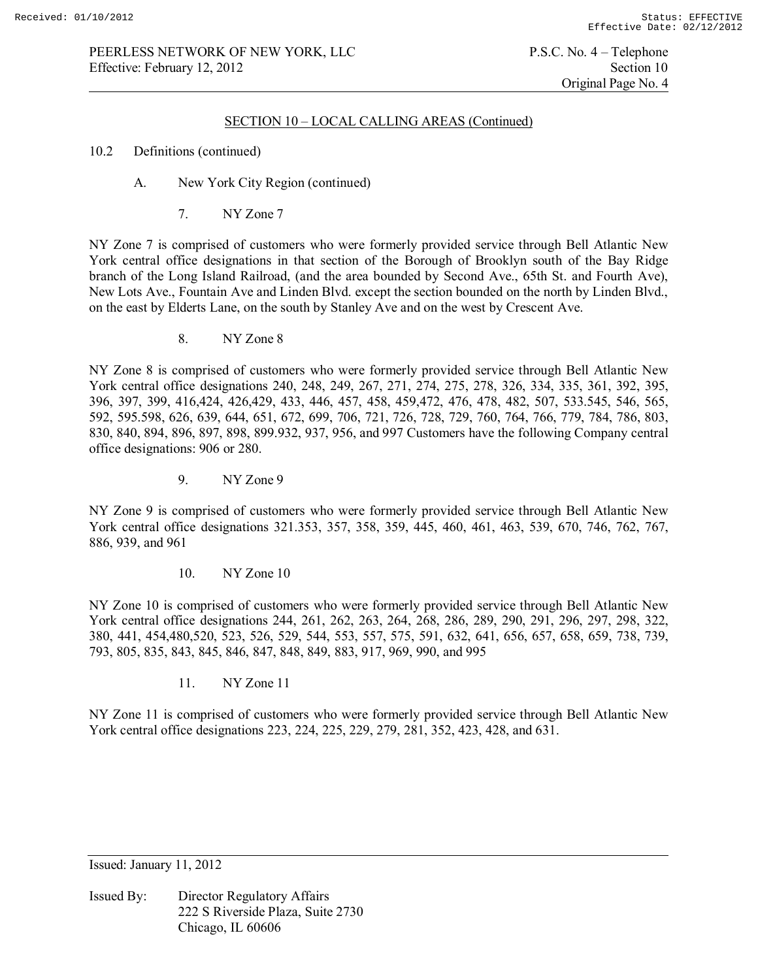### PEERLESS NETWORK OF NEW YORK, LLC P.S.C. No. 4 – Telephone<br>Effective: February 12, 2012 Section 10 Effective: February 12, 2012

### SECTION 10 – LOCAL CALLING AREAS (Continued)

#### 10.2 Definitions (continued)

- A. New York City Region (continued)
	- 7. NY Zone 7

NY Zone 7 is comprised of customers who were formerly provided service through Bell Atlantic New York central office designations in that section of the Borough of Brooklyn south of the Bay Ridge branch of the Long Island Railroad, (and the area bounded by Second Ave., 65th St. and Fourth Ave), New Lots Ave., Fountain Ave and Linden Blvd. except the section bounded on the north by Linden Blvd., on the east by Elderts Lane, on the south by Stanley Ave and on the west by Crescent Ave.

8. NY Zone 8

NY Zone 8 is comprised of customers who were formerly provided service through Bell Atlantic New York central office designations 240, 248, 249, 267, 271, 274, 275, 278, 326, 334, 335, 361, 392, 395, 396, 397, 399, 416,424, 426,429, 433, 446, 457, 458, 459,472, 476, 478, 482, 507, 533.545, 546, 565, 592, 595.598, 626, 639, 644, 651, 672, 699, 706, 721, 726, 728, 729, 760, 764, 766, 779, 784, 786, 803, 830, 840, 894, 896, 897, 898, 899.932, 937, 956, and 997 Customers have the following Company central office designations: 906 or 280.

9. NY Zone 9

NY Zone 9 is comprised of customers who were formerly provided service through Bell Atlantic New York central office designations 321.353, 357, 358, 359, 445, 460, 461, 463, 539, 670, 746, 762, 767, 886, 939, and 961

10. NY Zone 10

NY Zone 10 is comprised of customers who were formerly provided service through Bell Atlantic New York central office designations 244, 261, 262, 263, 264, 268, 286, 289, 290, 291, 296, 297, 298, 322, 380, 441, 454,480,520, 523, 526, 529, 544, 553, 557, 575, 591, 632, 641, 656, 657, 658, 659, 738, 739, 793, 805, 835, 843, 845, 846, 847, 848, 849, 883, 917, 969, 990, and 995

11 NY Zone 11

NY Zone 11 is comprised of customers who were formerly provided service through Bell Atlantic New York central office designations 223, 224, 225, 229, 279, 281, 352, 423, 428, and 631.

Issued: January 11, 2012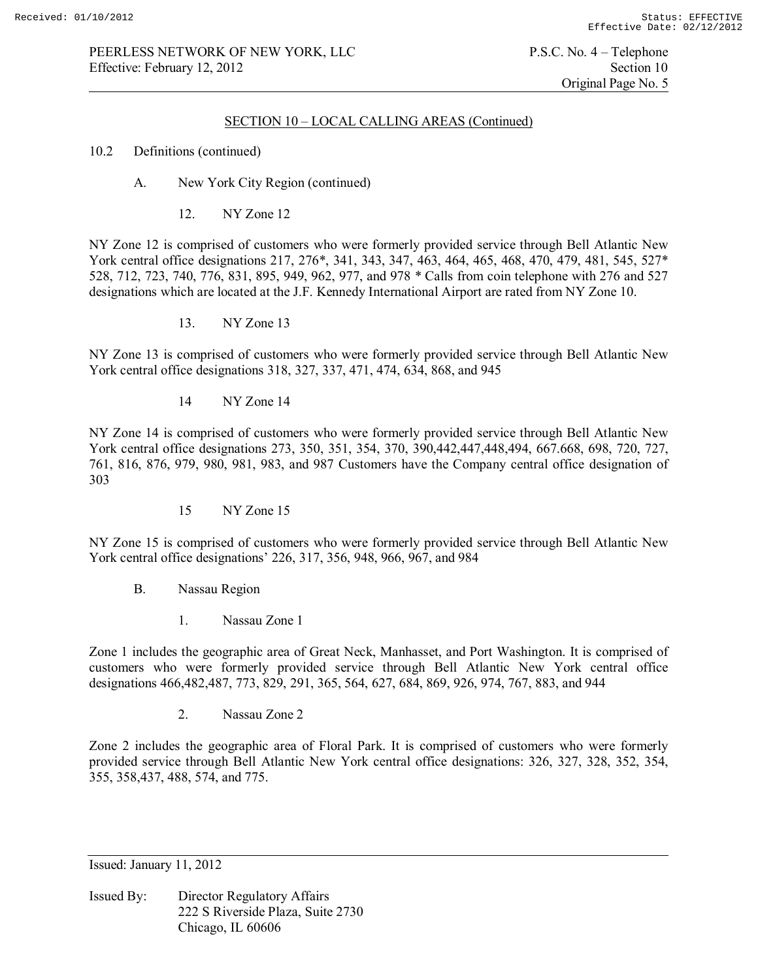## SECTION 10 – LOCAL CALLING AREAS (Continued)

### 10.2 Definitions (continued)

- A. New York City Region (continued)
	- 12. NY Zone 12

NY Zone 12 is comprised of customers who were formerly provided service through Bell Atlantic New York central office designations 217, 276\*, 341, 343, 347, 463, 464, 465, 468, 470, 479, 481, 545, 527\* 528, 712, 723, 740, 776, 831, 895, 949, 962, 977, and 978 \* Calls from coin telephone with 276 and 527 designations which are located at the J.F. Kennedy International Airport are rated from NY Zone 10.

13. NY Zone 13

NY Zone 13 is comprised of customers who were formerly provided service through Bell Atlantic New York central office designations 318, 327, 337, 471, 474, 634, 868, and 945

14 NY Zone 14

NY Zone 14 is comprised of customers who were formerly provided service through Bell Atlantic New York central office designations 273, 350, 351, 354, 370, 390,442,447,448,494, 667.668, 698, 720, 727, 761, 816, 876, 979, 980, 981, 983, and 987 Customers have the Company central office designation of 303

15 NY Zone 15

NY Zone 15 is comprised of customers who were formerly provided service through Bell Atlantic New York central office designations' 226, 317, 356, 948, 966, 967, and 984

- B. Nassau Region
	- 1. Nassau Zone 1

Zone 1 includes the geographic area of Great Neck, Manhasset, and Port Washington. It is comprised of customers who were formerly provided service through Bell Atlantic New York central office designations 466,482,487, 773, 829, 291, 365, 564, 627, 684, 869, 926, 974, 767, 883, and 944

2. Nassau Zone 2

Zone 2 includes the geographic area of Floral Park. It is comprised of customers who were formerly provided service through Bell Atlantic New York central office designations: 326, 327, 328, 352, 354, 355, 358,437, 488, 574, and 775.

Issued: January 11, 2012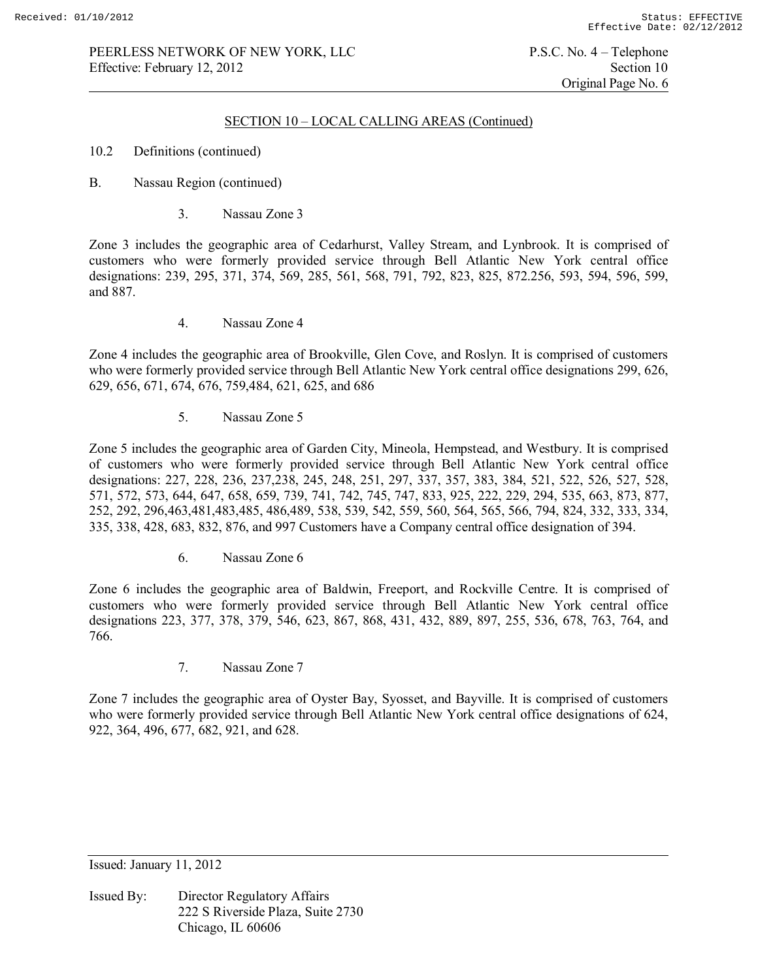### SECTION 10 – LOCAL CALLING AREAS (Continued)

- 10.2 Definitions (continued)
- B. Nassau Region (continued)
	- 3. Nassau Zone 3

Zone 3 includes the geographic area of Cedarhurst, Valley Stream, and Lynbrook. It is comprised of customers who were formerly provided service through Bell Atlantic New York central office designations: 239, 295, 371, 374, 569, 285, 561, 568, 791, 792, 823, 825, 872.256, 593, 594, 596, 599, and 887.

4. Nassau Zone 4

Zone 4 includes the geographic area of Brookville, Glen Cove, and Roslyn. It is comprised of customers who were formerly provided service through Bell Atlantic New York central office designations 299, 626, 629, 656, 671, 674, 676, 759,484, 621, 625, and 686

5. Nassau Zone 5

Zone 5 includes the geographic area of Garden City, Mineola, Hempstead, and Westbury. It is comprised of customers who were formerly provided service through Bell Atlantic New York central office designations: 227, 228, 236, 237,238, 245, 248, 251, 297, 337, 357, 383, 384, 521, 522, 526, 527, 528, 571, 572, 573, 644, 647, 658, 659, 739, 741, 742, 745, 747, 833, 925, 222, 229, 294, 535, 663, 873, 877, 252, 292, 296,463,481,483,485, 486,489, 538, 539, 542, 559, 560, 564, 565, 566, 794, 824, 332, 333, 334, 335, 338, 428, 683, 832, 876, and 997 Customers have a Company central office designation of 394.

6. Nassau Zone 6

Zone 6 includes the geographic area of Baldwin, Freeport, and Rockville Centre. It is comprised of customers who were formerly provided service through Bell Atlantic New York central office designations 223, 377, 378, 379, 546, 623, 867, 868, 431, 432, 889, 897, 255, 536, 678, 763, 764, and 766.

7. Nassau Zone 7

Zone 7 includes the geographic area of Oyster Bay, Syosset, and Bayville. It is comprised of customers who were formerly provided service through Bell Atlantic New York central office designations of 624, 922, 364, 496, 677, 682, 921, and 628.

Issued: January 11, 2012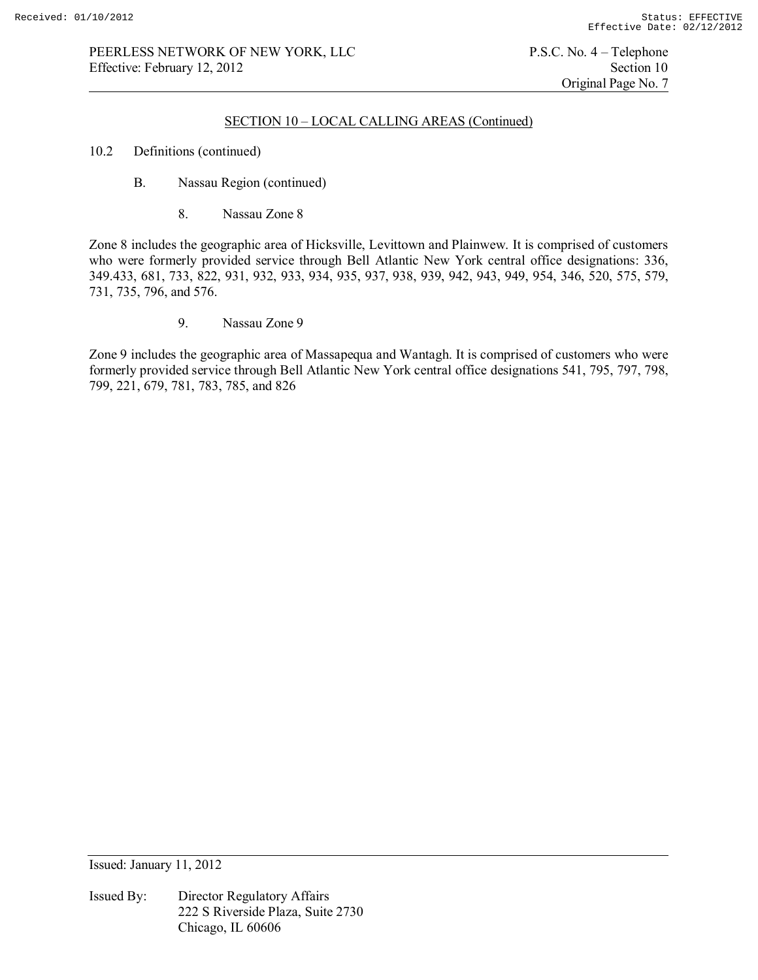Original Page No. 7

### SECTION 10 – LOCAL CALLING AREAS (Continued)

- 10.2 Definitions (continued)
	- B. Nassau Region (continued)
		- 8. Nassau Zone 8

Zone 8 includes the geographic area of Hicksville, Levittown and Plainwew. It is comprised of customers who were formerly provided service through Bell Atlantic New York central office designations: 336, 349.433, 681, 733, 822, 931, 932, 933, 934, 935, 937, 938, 939, 942, 943, 949, 954, 346, 520, 575, 579, 731, 735, 796, and 576.

9. Nassau Zone 9

Zone 9 includes the geographic area of Massapequa and Wantagh. It is comprised of customers who were formerly provided service through Bell Atlantic New York central office designations 541, 795, 797, 798, 799, 221, 679, 781, 783, 785, and 826

Issued: January 11, 2012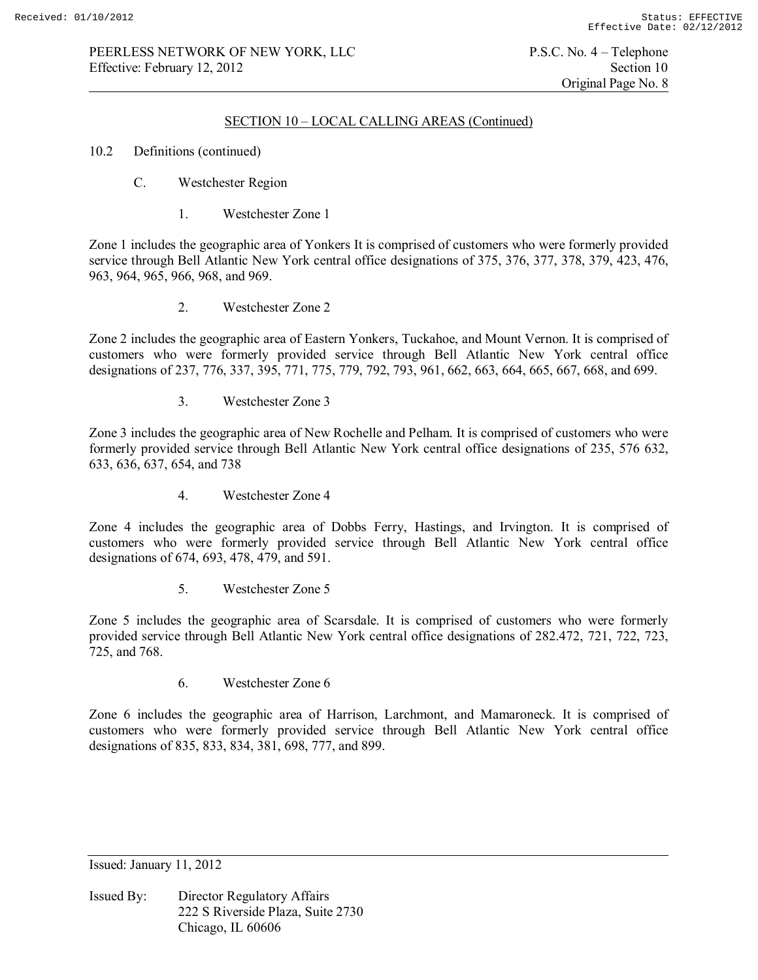## SECTION 10 – LOCAL CALLING AREAS (Continued)

- 10.2 Definitions (continued)
	- C. Westchester Region
		- 1. Westchester Zone 1

Zone 1 includes the geographic area of Yonkers It is comprised of customers who were formerly provided service through Bell Atlantic New York central office designations of 375, 376, 377, 378, 379, 423, 476, 963, 964, 965, 966, 968, and 969.

2. Westchester Zone 2

Zone 2 includes the geographic area of Eastern Yonkers, Tuckahoe, and Mount Vernon. It is comprised of customers who were formerly provided service through Bell Atlantic New York central office designations of 237, 776, 337, 395, 771, 775, 779, 792, 793, 961, 662, 663, 664, 665, 667, 668, and 699.

3. Westchester Zone 3

Zone 3 includes the geographic area of New Rochelle and Pelham. It is comprised of customers who were formerly provided service through Bell Atlantic New York central office designations of 235, 576 632, 633, 636, 637, 654, and 738

4. Westchester Zone 4

Zone 4 includes the geographic area of Dobbs Ferry, Hastings, and Irvington. It is comprised of customers who were formerly provided service through Bell Atlantic New York central office designations of 674, 693, 478, 479, and 591.

5. Westchester Zone 5

Zone 5 includes the geographic area of Scarsdale. It is comprised of customers who were formerly provided service through Bell Atlantic New York central office designations of 282.472, 721, 722, 723, 725, and 768.

6. Westchester Zone 6

Zone 6 includes the geographic area of Harrison, Larchmont, and Mamaroneck. It is comprised of customers who were formerly provided service through Bell Atlantic New York central office designations of 835, 833, 834, 381, 698, 777, and 899.

Issued: January 11, 2012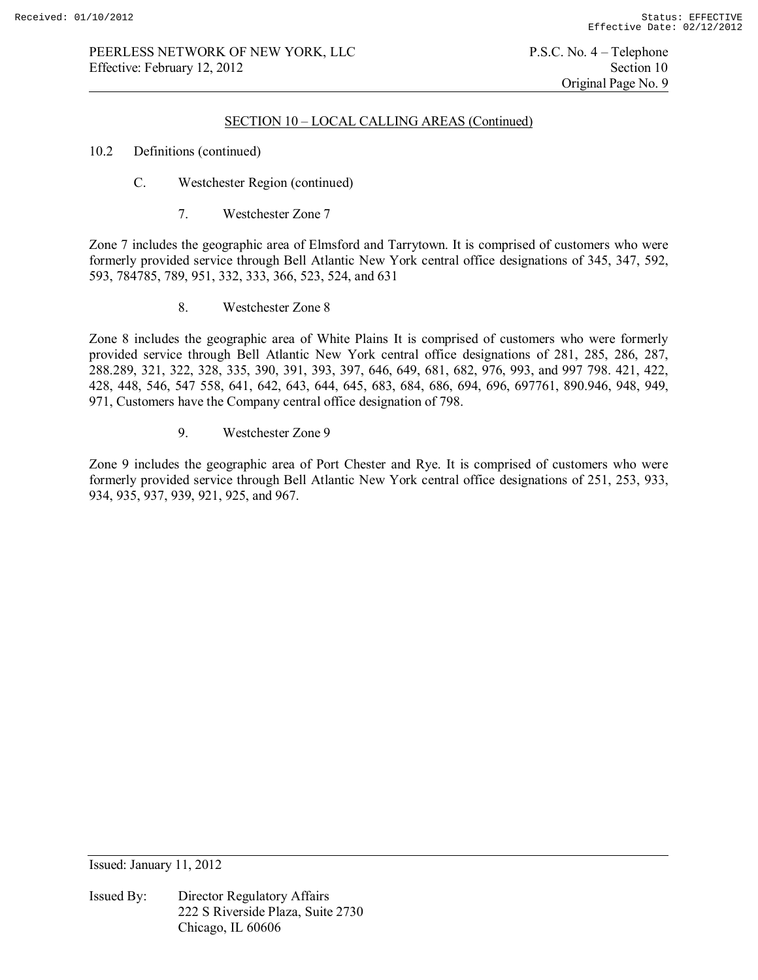### SECTION 10 – LOCAL CALLING AREAS (Continued)

- 10.2 Definitions (continued)
	- C. Westchester Region (continued)
		- 7. Westchester Zone 7

Zone 7 includes the geographic area of Elmsford and Tarrytown. It is comprised of customers who were formerly provided service through Bell Atlantic New York central office designations of 345, 347, 592, 593, 784785, 789, 951, 332, 333, 366, 523, 524, and 631

8. Westchester Zone 8

Zone 8 includes the geographic area of White Plains It is comprised of customers who were formerly provided service through Bell Atlantic New York central office designations of 281, 285, 286, 287, 288.289, 321, 322, 328, 335, 390, 391, 393, 397, 646, 649, 681, 682, 976, 993, and 997 798. 421, 422, 428, 448, 546, 547 558, 641, 642, 643, 644, 645, 683, 684, 686, 694, 696, 697761, 890.946, 948, 949, 971, Customers have the Company central office designation of 798.

9. Westchester Zone 9

Zone 9 includes the geographic area of Port Chester and Rye. It is comprised of customers who were formerly provided service through Bell Atlantic New York central office designations of 251, 253, 933, 934, 935, 937, 939, 921, 925, and 967.

Issued: January 11, 2012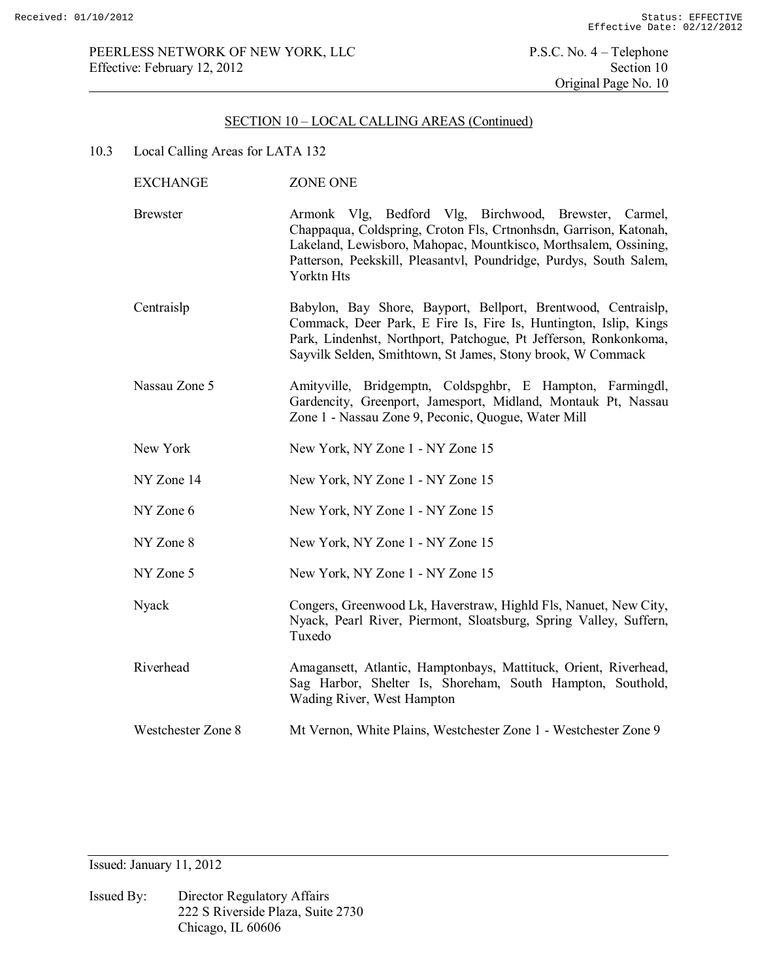10.3 Local Calling Areas for LATA 132

| <b>EXCHANGE</b>    | <b>ZONE ONE</b>                                                                                                                                                                                                                                                                   |
|--------------------|-----------------------------------------------------------------------------------------------------------------------------------------------------------------------------------------------------------------------------------------------------------------------------------|
| <b>Brewster</b>    | Armonk Vlg, Bedford Vlg, Birchwood, Brewster, Carmel,<br>Chappaqua, Coldspring, Croton Fls, Crtnonhsdn, Garrison, Katonah,<br>Lakeland, Lewisboro, Mahopac, Mountkisco, Morthsalem, Ossining,<br>Patterson, Peekskill, Pleasantvl, Poundridge, Purdys, South Salem,<br>Yorktn Hts |
| Centraislp         | Babylon, Bay Shore, Bayport, Bellport, Brentwood, Centraislp,<br>Commack, Deer Park, E Fire Is, Fire Is, Huntington, Islip, Kings<br>Park, Lindenhst, Northport, Patchogue, Pt Jefferson, Ronkonkoma,<br>Sayvilk Selden, Smithtown, St James, Stony brook, W Commack              |
| Nassau Zone 5      | Amityville, Bridgemptn, Coldspghbr, E Hampton, Farmingdl,<br>Gardencity, Greenport, Jamesport, Midland, Montauk Pt, Nassau<br>Zone 1 - Nassau Zone 9, Peconic, Quogue, Water Mill                                                                                                 |
| New York           | New York, NY Zone 1 - NY Zone 15                                                                                                                                                                                                                                                  |
| NY Zone 14         | New York, NY Zone 1 - NY Zone 15                                                                                                                                                                                                                                                  |
| NY Zone 6          | New York, NY Zone 1 - NY Zone 15                                                                                                                                                                                                                                                  |
| NY Zone 8          | New York, NY Zone 1 - NY Zone 15                                                                                                                                                                                                                                                  |
| NY Zone 5          | New York, NY Zone 1 - NY Zone 15                                                                                                                                                                                                                                                  |
| Nyack              | Congers, Greenwood Lk, Haverstraw, Highld Fls, Nanuet, New City,<br>Nyack, Pearl River, Piermont, Sloatsburg, Spring Valley, Suffern,<br>Tuxedo                                                                                                                                   |
| Riverhead          | Amagansett, Atlantic, Hamptonbays, Mattituck, Orient, Riverhead,<br>Sag Harbor, Shelter Is, Shoreham, South Hampton, Southold,<br>Wading River, West Hampton                                                                                                                      |
| Westchester Zone 8 | Mt Vernon, White Plains, Westchester Zone 1 - Westchester Zone 9                                                                                                                                                                                                                  |
|                    |                                                                                                                                                                                                                                                                                   |

Issued: January 11, 2012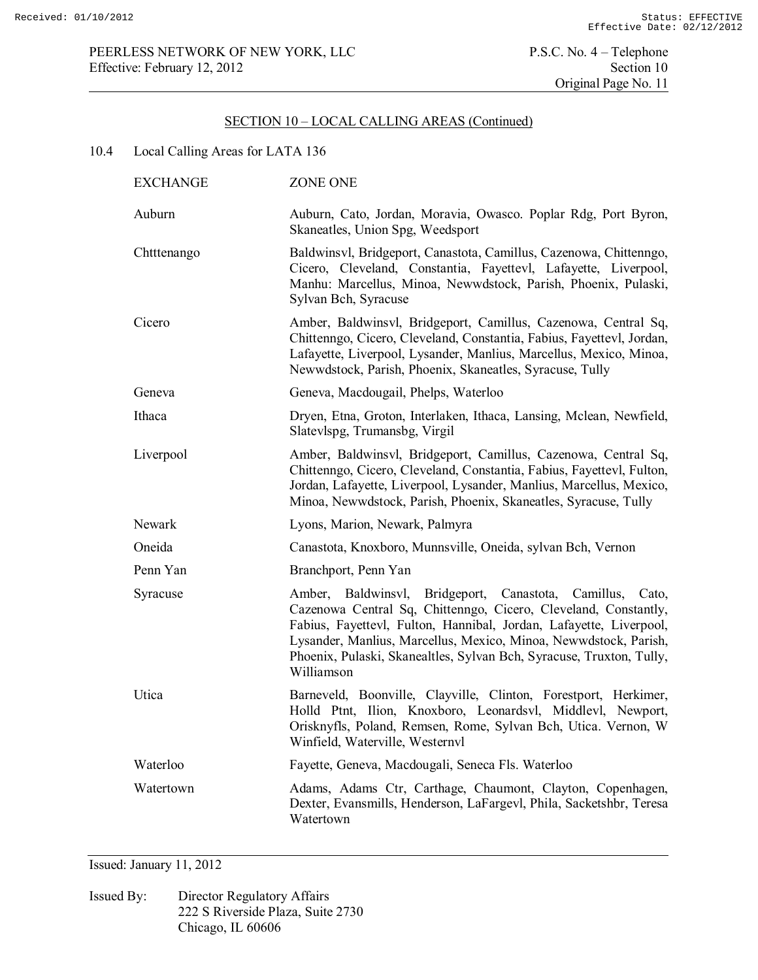# 10.4 Local Calling Areas for LATA 136

| <b>EXCHANGE</b> | <b>ZONE ONE</b>                                                                                                                                                                                                                                                                                                                                                 |
|-----------------|-----------------------------------------------------------------------------------------------------------------------------------------------------------------------------------------------------------------------------------------------------------------------------------------------------------------------------------------------------------------|
| Auburn          | Auburn, Cato, Jordan, Moravia, Owasco. Poplar Rdg, Port Byron,<br>Skaneatles, Union Spg, Weedsport                                                                                                                                                                                                                                                              |
| Chtttenango     | Baldwinsvl, Bridgeport, Canastota, Camillus, Cazenowa, Chittenngo,<br>Cicero, Cleveland, Constantia, Fayettevl, Lafayette, Liverpool,<br>Manhu: Marcellus, Minoa, Newwdstock, Parish, Phoenix, Pulaski,<br>Sylvan Bch, Syracuse                                                                                                                                 |
| Cicero          | Amber, Baldwinsvl, Bridgeport, Camillus, Cazenowa, Central Sq,<br>Chittenngo, Cicero, Cleveland, Constantia, Fabius, Fayettevl, Jordan,<br>Lafayette, Liverpool, Lysander, Manlius, Marcellus, Mexico, Minoa,<br>Newwdstock, Parish, Phoenix, Skaneatles, Syracuse, Tully                                                                                       |
| Geneva          | Geneva, Macdougail, Phelps, Waterloo                                                                                                                                                                                                                                                                                                                            |
| Ithaca          | Dryen, Etna, Groton, Interlaken, Ithaca, Lansing, Mclean, Newfield,<br>Slatevlspg, Trumansbg, Virgil                                                                                                                                                                                                                                                            |
| Liverpool       | Amber, Baldwinsvl, Bridgeport, Camillus, Cazenowa, Central Sq,<br>Chittenngo, Cicero, Cleveland, Constantia, Fabius, Fayettevl, Fulton,<br>Jordan, Lafayette, Liverpool, Lysander, Manlius, Marcellus, Mexico,<br>Minoa, Newwdstock, Parish, Phoenix, Skaneatles, Syracuse, Tully                                                                               |
| Newark          | Lyons, Marion, Newark, Palmyra                                                                                                                                                                                                                                                                                                                                  |
| Oneida          | Canastota, Knoxboro, Munnsville, Oneida, sylvan Bch, Vernon                                                                                                                                                                                                                                                                                                     |
| Penn Yan        | Branchport, Penn Yan                                                                                                                                                                                                                                                                                                                                            |
| Syracuse        | Amber, Baldwinsvl, Bridgeport, Canastota, Camillus,<br>Cato,<br>Cazenowa Central Sq, Chittenngo, Cicero, Cleveland, Constantly,<br>Fabius, Fayettevl, Fulton, Hannibal, Jordan, Lafayette, Liverpool,<br>Lysander, Manlius, Marcellus, Mexico, Minoa, Newwdstock, Parish,<br>Phoenix, Pulaski, Skanealtles, Sylvan Bch, Syracuse, Truxton, Tully,<br>Williamson |
| Utica           | Barneveld, Boonville, Clayville, Clinton, Forestport, Herkimer,<br>Holld Ptnt, Ilion, Knoxboro, Leonardsvl, Middlevl, Newport,<br>Orisknyfls, Poland, Remsen, Rome, Sylvan Bch, Utica. Vernon, W<br>Winfield, Waterville, Westernyl                                                                                                                             |
| Waterloo        | Fayette, Geneva, Macdougali, Seneca Fls. Waterloo                                                                                                                                                                                                                                                                                                               |
| Watertown       | Adams, Adams Ctr, Carthage, Chaumont, Clayton, Copenhagen,<br>Dexter, Evansmills, Henderson, LaFargevl, Phila, Sacketshbr, Teresa<br>Watertown                                                                                                                                                                                                                  |

Issued: January 11, 2012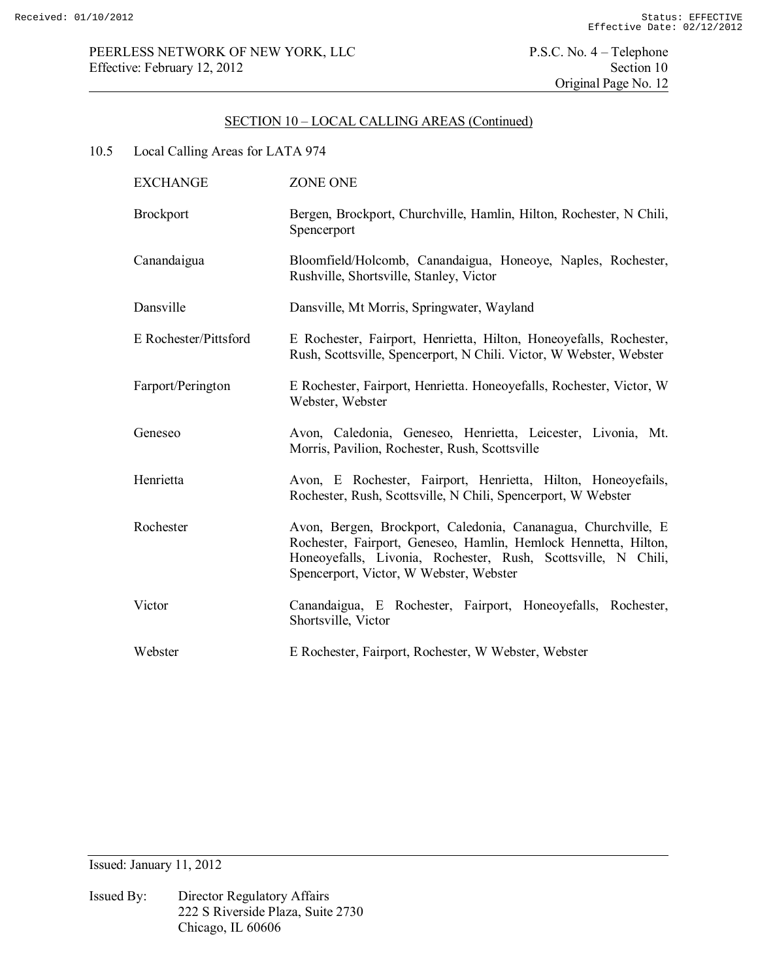# 10.5 Local Calling Areas for LATA 974

| <b>EXCHANGE</b>       | ZONE ONE                                                                                                                                                                                                                                     |
|-----------------------|----------------------------------------------------------------------------------------------------------------------------------------------------------------------------------------------------------------------------------------------|
| <b>Brockport</b>      | Bergen, Brockport, Churchville, Hamlin, Hilton, Rochester, N Chili,<br>Spencerport                                                                                                                                                           |
| Canandaigua           | Bloomfield/Holcomb, Canandaigua, Honeoye, Naples, Rochester,<br>Rushville, Shortsville, Stanley, Victor                                                                                                                                      |
| Dansville             | Dansville, Mt Morris, Springwater, Wayland                                                                                                                                                                                                   |
| E Rochester/Pittsford | E Rochester, Fairport, Henrietta, Hilton, Honeoyefalls, Rochester,<br>Rush, Scottsville, Spencerport, N Chili. Victor, W Webster, Webster                                                                                                    |
| Farport/Perington     | E Rochester, Fairport, Henrietta. Honeoyefalls, Rochester, Victor, W.<br>Webster, Webster                                                                                                                                                    |
| Geneseo               | Avon, Caledonia, Geneseo, Henrietta, Leicester, Livonia, Mt.<br>Morris, Pavilion, Rochester, Rush, Scottsville                                                                                                                               |
| Henrietta             | Avon, E Rochester, Fairport, Henrietta, Hilton, Honeoyefails,<br>Rochester, Rush, Scottsville, N Chili, Spencerport, W Webster                                                                                                               |
| Rochester             | Avon, Bergen, Brockport, Caledonia, Cananagua, Churchville, E<br>Rochester, Fairport, Geneseo, Hamlin, Hemlock Hennetta, Hilton,<br>Honeoyefalls, Livonia, Rochester, Rush, Scottsville, N Chili,<br>Spencerport, Victor, W Webster, Webster |
| Victor                | Canandaigua, E Rochester, Fairport, Honeoyefalls, Rochester,<br>Shortsville, Victor                                                                                                                                                          |
| Webster               | E Rochester, Fairport, Rochester, W Webster, Webster                                                                                                                                                                                         |

Issued: January 11, 2012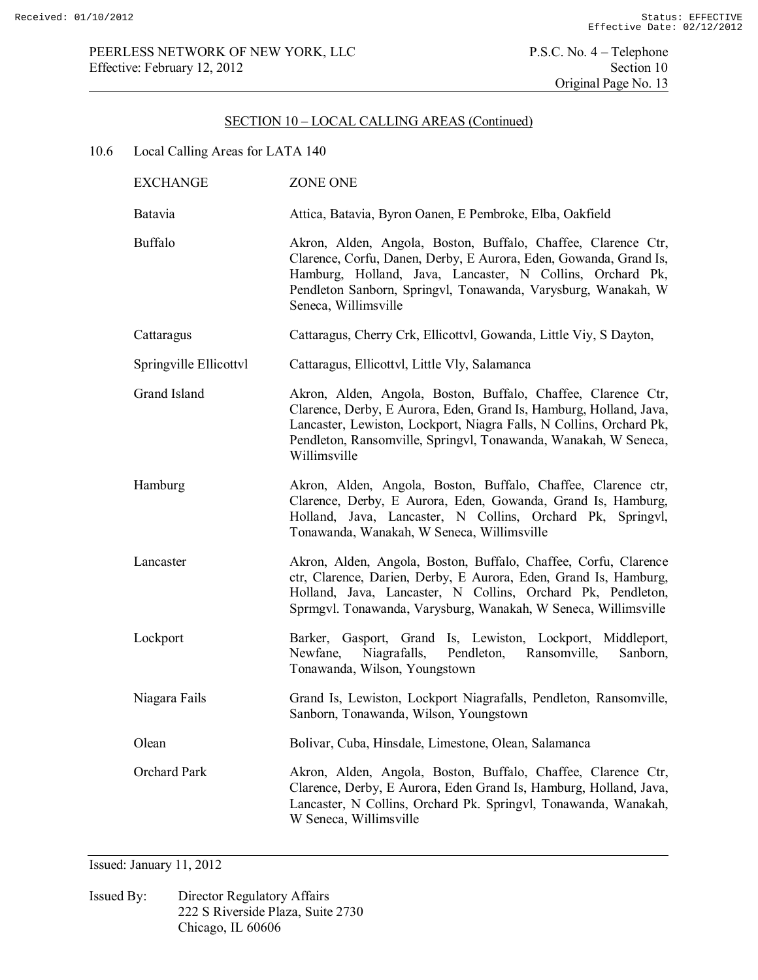10.6 Local Calling Areas for LATA 140

| <b>EXCHANGE</b>        | ZONE ONE                                                                                                                                                                                                                                                                                      |  |  |
|------------------------|-----------------------------------------------------------------------------------------------------------------------------------------------------------------------------------------------------------------------------------------------------------------------------------------------|--|--|
| Batavia                | Attica, Batavia, Byron Oanen, E Pembroke, Elba, Oakfield                                                                                                                                                                                                                                      |  |  |
| <b>Buffalo</b>         | Akron, Alden, Angola, Boston, Buffalo, Chaffee, Clarence Ctr,<br>Clarence, Corfu, Danen, Derby, E Aurora, Eden, Gowanda, Grand Is,<br>Hamburg, Holland, Java, Lancaster, N Collins, Orchard Pk,<br>Pendleton Sanborn, Springvl, Tonawanda, Varysburg, Wanakah, W<br>Seneca, Willimsville      |  |  |
| Cattaragus             | Cattaragus, Cherry Crk, Ellicottvl, Gowanda, Little Viy, S Dayton,                                                                                                                                                                                                                            |  |  |
| Springville Ellicottvl | Cattaragus, Ellicottvl, Little Vly, Salamanca                                                                                                                                                                                                                                                 |  |  |
| Grand Island           | Akron, Alden, Angola, Boston, Buffalo, Chaffee, Clarence Ctr,<br>Clarence, Derby, E Aurora, Eden, Grand Is, Hamburg, Holland, Java,<br>Lancaster, Lewiston, Lockport, Niagra Falls, N Collins, Orchard Pk,<br>Pendleton, Ransomville, Springvl, Tonawanda, Wanakah, W Seneca,<br>Willimsville |  |  |
| Hamburg                | Akron, Alden, Angola, Boston, Buffalo, Chaffee, Clarence ctr,<br>Clarence, Derby, E Aurora, Eden, Gowanda, Grand Is, Hamburg,<br>Holland, Java, Lancaster, N Collins, Orchard Pk, Springvl,<br>Tonawanda, Wanakah, W Seneca, Willimsville                                                     |  |  |
| Lancaster              | Akron, Alden, Angola, Boston, Buffalo, Chaffee, Corfu, Clarence<br>ctr, Clarence, Darien, Derby, E Aurora, Eden, Grand Is, Hamburg,<br>Holland, Java, Lancaster, N Collins, Orchard Pk, Pendleton,<br>Sprmgvl. Tonawanda, Varysburg, Wanakah, W Seneca, Willimsville                          |  |  |
| Lockport               | Barker, Gasport, Grand Is, Lewiston, Lockport, Middleport,<br>Niagrafalls, Pendleton, Ransomville,<br>Newfane,<br>Sanborn,<br>Tonawanda, Wilson, Youngstown                                                                                                                                   |  |  |
| Niagara Fails          | Grand Is, Lewiston, Lockport Niagrafalls, Pendleton, Ransomville,<br>Sanborn, Tonawanda, Wilson, Youngstown                                                                                                                                                                                   |  |  |
| Olean                  | Bolivar, Cuba, Hinsdale, Limestone, Olean, Salamanca                                                                                                                                                                                                                                          |  |  |
| Orchard Park           | Akron, Alden, Angola, Boston, Buffalo, Chaffee, Clarence Ctr,<br>Clarence, Derby, E Aurora, Eden Grand Is, Hamburg, Holland, Java,<br>Lancaster, N Collins, Orchard Pk. Springvl, Tonawanda, Wanakah,<br>W Seneca, Willimsville                                                               |  |  |

Issued: January 11, 2012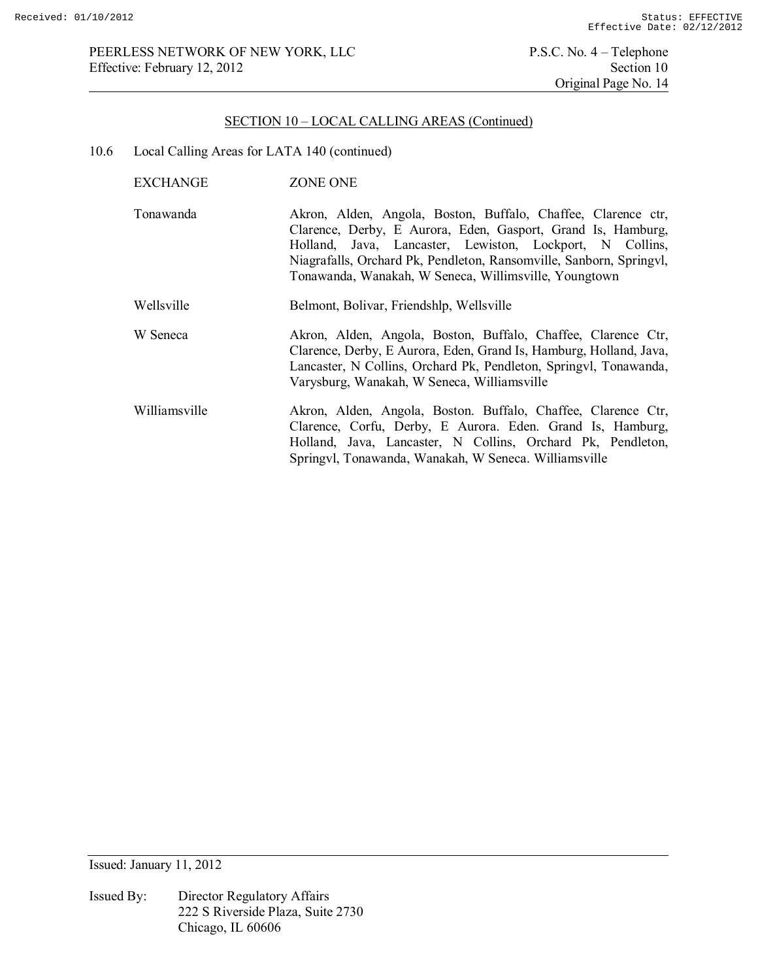10.6 Local Calling Areas for LATA 140 (continued)

| EXCHANGE      | ZONE ONE                                                                                                                                                                                                                                                                                                                  |
|---------------|---------------------------------------------------------------------------------------------------------------------------------------------------------------------------------------------------------------------------------------------------------------------------------------------------------------------------|
| Tonawanda     | Akron, Alden, Angola, Boston, Buffalo, Chaffee, Clarence ctr,<br>Clarence, Derby, E Aurora, Eden, Gasport, Grand Is, Hamburg,<br>Holland, Java, Lancaster, Lewiston, Lockport, N Collins,<br>Niagrafalls, Orchard Pk, Pendleton, Ransomville, Sanborn, Springvl,<br>Tonawanda, Wanakah, W Seneca, Willimsville, Youngtown |
| Wellsville    | Belmont, Bolivar, Friendshlp, Wellsville                                                                                                                                                                                                                                                                                  |
| W Seneca      | Akron, Alden, Angola, Boston, Buffalo, Chaffee, Clarence Ctr,<br>Clarence, Derby, E Aurora, Eden, Grand Is, Hamburg, Holland, Java,<br>Lancaster, N Collins, Orchard Pk, Pendleton, Springvl, Tonawanda,<br>Varysburg, Wanakah, W Seneca, Williamsville                                                                   |
| Williamsville | Akron, Alden, Angola, Boston. Buffalo, Chaffee, Clarence Ctr,<br>Clarence, Corfu, Derby, E Aurora. Eden. Grand Is, Hamburg,<br>Holland, Java, Lancaster, N Collins, Orchard Pk, Pendleton,<br>Springvl, Tonawanda, Wanakah, W Seneca. Williamsville                                                                       |

Issued: January 11, 2012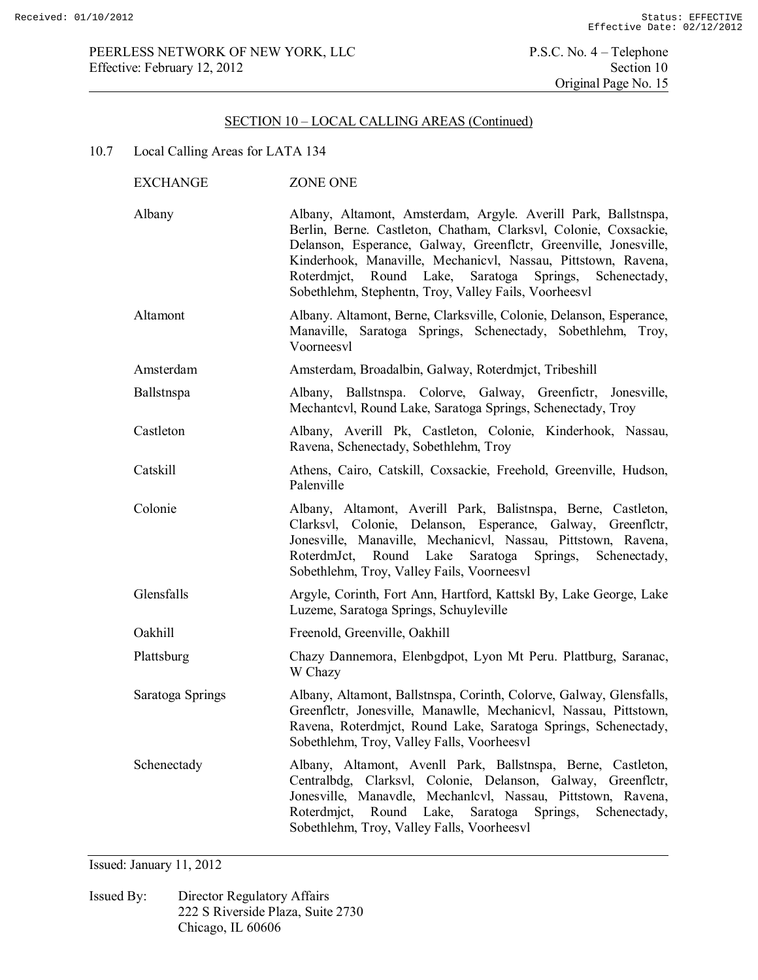## PEERLESS NETWORK OF NEW YORK, LLC<br>
Effective: February 12, 2012<br>
Section 10 Effective: February 12, 2012

# SECTION 10 – LOCAL CALLING AREAS (Continued)

# 10.7 Local Calling Areas for LATA 134

| <b>EXCHANGE</b>  | ZONE ONE                                                                                                                                                                                                                                                                                                                                                                                      |
|------------------|-----------------------------------------------------------------------------------------------------------------------------------------------------------------------------------------------------------------------------------------------------------------------------------------------------------------------------------------------------------------------------------------------|
| Albany           | Albany, Altamont, Amsterdam, Argyle. Averill Park, Ballstnspa,<br>Berlin, Berne. Castleton, Chatham, Clarksvl, Colonie, Coxsackie,<br>Delanson, Esperance, Galway, Greenflctr, Greenville, Jonesville,<br>Kinderhook, Manaville, Mechanicvl, Nassau, Pittstown, Ravena,<br>Roterdmict, Round Lake, Saratoga<br>Springs, Schenectady,<br>Sobethlehm, Stephentn, Troy, Valley Fails, Voorheesvl |
| Altamont         | Albany. Altamont, Berne, Clarksville, Colonie, Delanson, Esperance,<br>Manaville, Saratoga Springs, Schenectady, Sobethlehm, Troy,<br>Voorneesvl                                                                                                                                                                                                                                              |
| Amsterdam        | Amsterdam, Broadalbin, Galway, Roterdmjct, Tribeshill                                                                                                                                                                                                                                                                                                                                         |
| Ballstnspa       | Albany, Ballstnspa. Colorve, Galway, Greenfictr, Jonesville,<br>Mechantcvl, Round Lake, Saratoga Springs, Schenectady, Troy                                                                                                                                                                                                                                                                   |
| Castleton        | Albany, Averill Pk, Castleton, Colonie, Kinderhook, Nassau,<br>Ravena, Schenectady, Sobethlehm, Troy                                                                                                                                                                                                                                                                                          |
| Catskill         | Athens, Cairo, Catskill, Coxsackie, Freehold, Greenville, Hudson,<br>Palenville                                                                                                                                                                                                                                                                                                               |
| Colonie          | Albany, Altamont, Averill Park, Balistnspa, Berne, Castleton,<br>Clarksvl, Colonie, Delanson, Esperance, Galway, Greenflctr,<br>Jonesville, Manaville, Mechanicvl, Nassau, Pittstown, Ravena,<br>RoterdmJct, Round Lake Saratoga<br>Springs, Schenectady,<br>Sobethlehm, Troy, Valley Fails, Voorneesvl                                                                                       |
| Glensfalls       | Argyle, Corinth, Fort Ann, Hartford, Kattskl By, Lake George, Lake<br>Luzeme, Saratoga Springs, Schuyleville                                                                                                                                                                                                                                                                                  |
| Oakhill          | Freenold, Greenville, Oakhill                                                                                                                                                                                                                                                                                                                                                                 |
| Plattsburg       | Chazy Dannemora, Elenbgdpot, Lyon Mt Peru. Plattburg, Saranac,<br>W Chazy                                                                                                                                                                                                                                                                                                                     |
| Saratoga Springs | Albany, Altamont, Ballstnspa, Corinth, Colorve, Galway, Glensfalls,<br>Greenflctr, Jonesville, Manawlle, Mechanicvl, Nassau, Pittstown,<br>Ravena, Roterdmjct, Round Lake, Saratoga Springs, Schenectady,<br>Sobethlehm, Troy, Valley Falls, Voorheesvl                                                                                                                                       |
| Schenectady      | Albany, Altamont, Avenll Park, Ballstnspa, Berne, Castleton,<br>Centralbdg, Clarksvl, Colonie, Delanson, Galway,<br>Greenfletr,<br>Jonesville, Manavdle, Mechanlcvl, Nassau, Pittstown, Ravena,<br>Roterdmjct,<br>Round<br>Lake,<br>Saratoga<br>Springs,<br>Schenectady,<br>Sobethlehm, Troy, Valley Falls, Voorheesvl                                                                        |

Issued: January 11, 2012